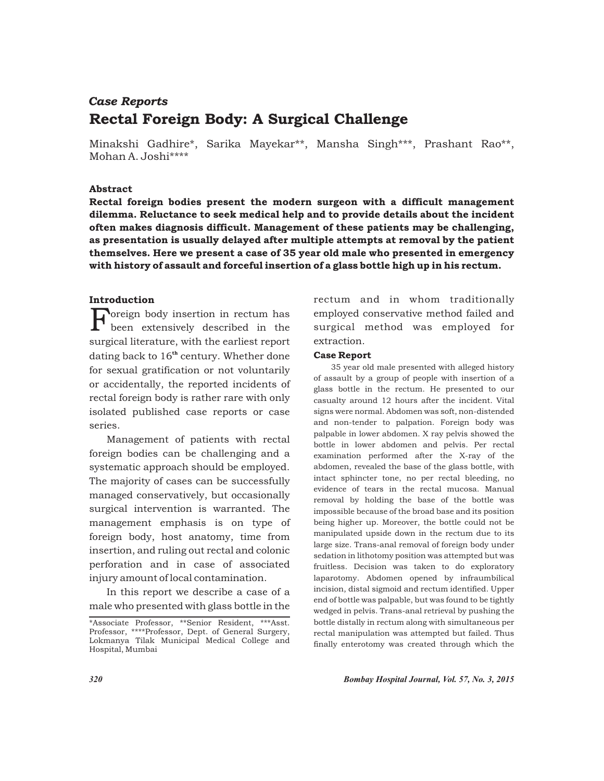# Rectal Foreign Body: A Surgical Challenge *Case Reports*

Minakshi Gadhire\*, Sarika Mayekar\*\*, Mansha Singh\*\*\*, Prashant Rao\*\*, Mohan A. Joshi\*\*\*\*

### Abstract

Rectal foreign bodies present the modern surgeon with a difficult management dilemma. Reluctance to seek medical help and to provide details about the incident often makes diagnosis difficult. Management of these patients may be challenging, as presentation is usually delayed after multiple attempts at removal by the patient themselves. Here we present a case of 35 year old male who presented in emergency with history of assault and forceful insertion of a glass bottle high up in his rectum.

## Introduction

 $\Gamma$  oreign body insertion in rectum has been extensively described in the surgical literature, with the earliest report dating back to  $16<sup>th</sup>$  century. Whether done for sexual gratification or not voluntarily or accidentally, the reported incidents of rectal foreign body is rather rare with only isolated published case reports or case series.

Management of patients with rectal foreign bodies can be challenging and a systematic approach should be employed. The majority of cases can be successfully managed conservatively, but occasionally surgical intervention is warranted. The management emphasis is on type of foreign body, host anatomy, time from insertion, and ruling out rectal and colonic perforation and in case of associated injury amount of local contamination.

In this report we describe a case of a male who presented with glass bottle in the

rectum and in whom traditionally employed conservative method failed and surgical method was employed for extraction.

#### Case Report

35 year old male presented with alleged history of assault by a group of people with insertion of a glass bottle in the rectum. He presented to our casualty around 12 hours after the incident. Vital signs were normal. Abdomen was soft, non-distended and non-tender to palpation. Foreign body was palpable in lower abdomen. X ray pelvis showed the bottle in lower abdomen and pelvis. Per rectal examination performed after the X-ray of the abdomen, revealed the base of the glass bottle, with intact sphincter tone, no per rectal bleeding, no evidence of tears in the rectal mucosa. Manual removal by holding the base of the bottle was impossible because of the broad base and its position being higher up. Moreover, the bottle could not be manipulated upside down in the rectum due to its large size. Trans-anal removal of foreign body under sedation in lithotomy position was attempted but was fruitless. Decision was taken to do exploratory laparotomy. Abdomen opened by infraumbilical incision, distal sigmoid and rectum identified. Upper end of bottle was palpable, but was found to be tightly wedged in pelvis. Trans-anal retrieval by pushing the bottle distally in rectum along with simultaneous per rectal manipulation was attempted but failed. Thus finally enterotomy was created through which the

<sup>\*</sup>Associate Professor, \*\*Senior Resident, \*\*\*Asst. Professor, \*\*\*\*Professor, Dept. of General Surgery, Lokmanya Tilak Municipal Medical College and Hospital, Mumbai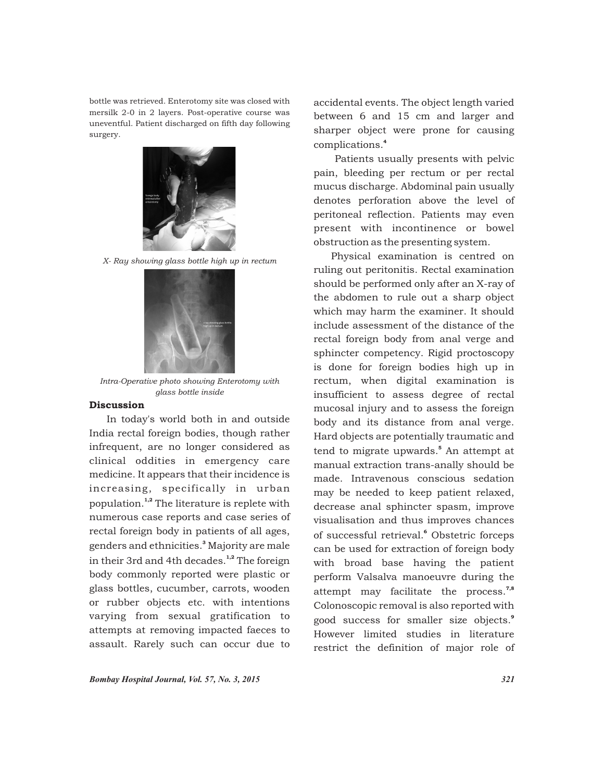bottle was retrieved. Enterotomy site was closed with mersilk 2-0 in 2 layers. Post-operative course was uneventful. Patient discharged on fifth day following surgery.



*X- Ray showing glass bottle high up in rectum*



*Intra-Operative photo showing Enterotomy with glass bottle inside*

#### Discussion

In today's world both in and outside India rectal foreign bodies, though rather infrequent, are no longer considered as clinical oddities in emergency care medicine. It appears that their incidence is increasing, specifically in urban population.<sup>1,2</sup> The literature is replete with numerous case reports and case series of rectal foreign body in patients of all ages, genders and ethnicities.<sup>3</sup> Majority are male in their 3rd and 4th decades.<sup>1,2</sup> The foreign body commonly reported were plastic or glass bottles, cucumber, carrots, wooden or rubber objects etc. with intentions varying from sexual gratification to attempts at removing impacted faeces to assault. Rarely such can occur due to

accidental events. The object length varied between 6 and 15 cm and larger and sharper object were prone for causing 4 complications.

Patients usually presents with pelvic pain, bleeding per rectum or per rectal mucus discharge. Abdominal pain usually denotes perforation above the level of peritoneal reflection. Patients may even present with incontinence or bowel obstruction as the presenting system.

Physical examination is centred on ruling out peritonitis. Rectal examination should be performed only after an X-ray of the abdomen to rule out a sharp object which may harm the examiner. It should include assessment of the distance of the rectal foreign body from anal verge and sphincter competency. Rigid proctoscopy is done for foreign bodies high up in rectum, when digital examination is insufficient to assess degree of rectal mucosal injury and to assess the foreign body and its distance from anal verge. Hard objects are potentially traumatic and tend to migrate upwards.<sup>5</sup> An attempt at manual extraction trans-anally should be made. Intravenous conscious sedation may be needed to keep patient relaxed, decrease anal sphincter spasm, improve visualisation and thus improves chances of successful retrieval.<sup>6</sup> Obstetric forceps can be used for extraction of foreign body with broad base having the patient perform Valsalva manoeuvre during the attempt may facilitate the process. $7,8$ Colonoscopic removal is also reported with 9 good success for smaller size objects. However limited studies in literature restrict the definition of major role of